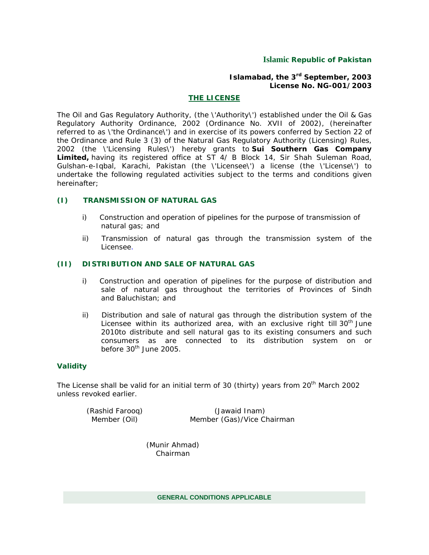### **Islamic Republic of Pakistan**

#### **Islamabad, the 3rd September, 2003 License No. NG-001/2003**

#### **THE LICENSE**

The Oil and Gas Regulatory Authority, (the \'Authority\') established under the Oil & Gas Regulatory Authority Ordinance, 2002 (Ordinance No. XVII of 2002), (hereinafter referred to as \'the Ordinance\') and in exercise of its powers conferred by Section 22 of the Ordinance and Rule 3 (3) of the Natural Gas Regulatory Authority (Licensing) Rules, 2002 (the \'Licensing Rules\') hereby grants to **Sui Southern Gas Company Limited,** having its registered office at ST 4/ B Block 14, Sir Shah Suleman Road, Gulshan-e-Iqbal, Karachi, Pakistan (the \'Licensee\') a license (the \'License\') to undertake the following regulated activities subject to the terms and conditions given hereinafter;

#### **(I) TRANSMISSION OF NATURAL GAS**

- i) Construction and operation of pipelines for the purpose of transmission of natural gas; and
- ii) Transmission of natural gas through the transmission system of the Licensee.

#### **(II) DISTRIBUTION AND SALE OF NATURAL GAS**

- i) Construction and operation of pipelines for the purpose of distribution and sale of natural gas throughout the territories of Provinces of Sindh and Baluchistan; and
- ii) Distribution and sale of natural gas through the distribution system of the Licensee within its authorized area, with an exclusive right till 30<sup>th</sup> June 2010to distribute and sell natural gas to its existing consumers and such consumers as are connected to its distribution system on or before 30<sup>th</sup> June 2005.

#### **Validity**

The License shall be valid for an initial term of 30 (thirty) years from 20<sup>th</sup> March 2002 unless revoked earlier.

 (Rashid Farooq) (Jawaid Inam) Member (Oil) Member (Gas)/Vice Chairman

> (Munir Ahmad) Chairman

> > **GENERAL CONDITIONS APPLICABLE**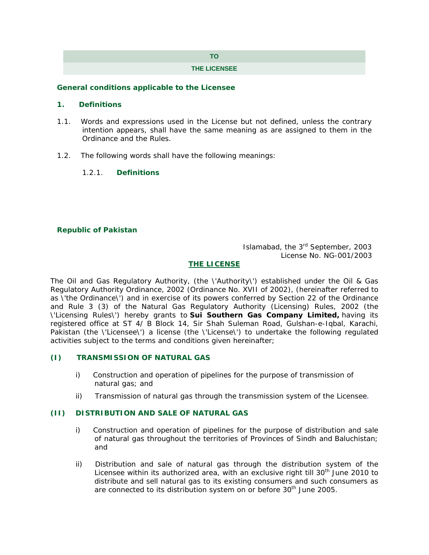# **TO**

#### **THE LICENSEE**

#### **General conditions applicable to the Licensee**

### **1. Definitions**

- 1.1. Words and expressions used in the License but not defined, unless the contrary intention appears, shall have the same meaning as are assigned to them in the Ordinance and the Rules.
- 1.2. The following words shall have the following meanings:
	- 1.2.1. **Definitions**

# **Republic of Pakistan**

# Islamabad, the 3rd September, 2003 License No. NG-001/2003

# **THE LICENSE**

The Oil and Gas Regulatory Authority, (the \'Authority\') established under the Oil & Gas Regulatory Authority Ordinance, 2002 (Ordinance No. XVII of 2002), (hereinafter referred to as \'the Ordinance\') and in exercise of its powers conferred by Section 22 of the Ordinance and Rule 3 (3) of the Natural Gas Regulatory Authority (Licensing) Rules, 2002 (the \'Licensing Rules\') hereby grants to **Sui Southern Gas Company Limited,** having its registered office at ST 4/ B Block 14, Sir Shah Suleman Road, Gulshan-e-Iqbal, Karachi, Pakistan (the \'Licensee\') a license (the \'License\') to undertake the following regulated activities subject to the terms and conditions given hereinafter;

#### **(I) TRANSMISSION OF NATURAL GAS**

- i) Construction and operation of pipelines for the purpose of transmission of natural gas; and
- ii) Transmission of natural gas through the transmission system of the Licensee.

#### **(II) DISTRIBUTION AND SALE OF NATURAL GAS**

- i) Construction and operation of pipelines for the purpose of distribution and sale of natural gas throughout the territories of Provinces of Sindh and Baluchistan; and
- ii) Distribution and sale of natural gas through the distribution system of the Licensee within its authorized area, with an exclusive right till  $30<sup>th</sup>$  June 2010 to distribute and sell natural gas to its existing consumers and such consumers as are connected to its distribution system on or before 30<sup>th</sup> June 2005.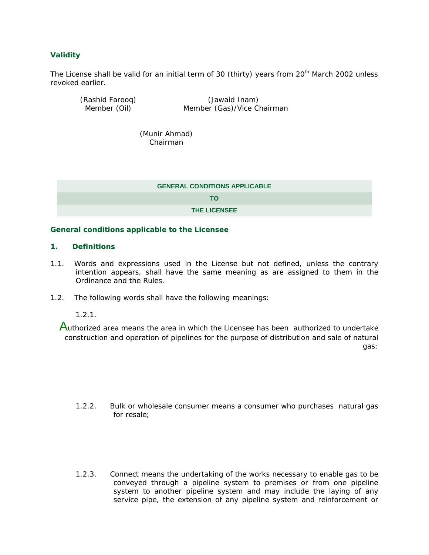### **Validity**

The License shall be valid for an initial term of 30 (thirty) years from 20<sup>th</sup> March 2002 unless revoked earlier.

| (Rashid Farooq) | (Jawaid Inam)              |
|-----------------|----------------------------|
| Member (Oil)    | Member (Gas)/Vice Chairman |

 (Munir Ahmad) Chairman

| <b>GENERAL CONDITIONS APPLICABLE</b> |  |
|--------------------------------------|--|
| TΟ                                   |  |
| <b>THE LICENSEE</b>                  |  |

#### **General conditions applicable to the Licensee**

#### **1. Definitions**

- 1.1. Words and expressions used in the License but not defined, unless the contrary intention appears, shall have the same meaning as are assigned to them in the Ordinance and the Rules.
- 1.2. The following words shall have the following meanings:

1.2.1.

Authorized area means the area in which the Licensee has been authorized to undertake construction and operation of pipelines for the purpose of distribution and sale of natural gas;

- 1.2.2. Bulk or wholesale consumer means a consumer who purchases natural gas for resale;
- 1.2.3. Connect means the undertaking of the works necessary to enable gas to be conveyed through a pipeline system to premises or from one pipeline system to another pipeline system and may include the laying of any service pipe, the extension of any pipeline system and reinforcement or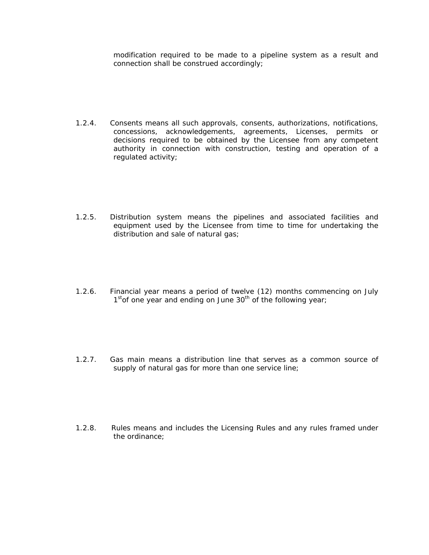modification required to be made to a pipeline system as a result and connection shall be construed accordingly;

- 1.2.4. Consents means all such approvals, consents, authorizations, notifications, concessions, acknowledgements, agreements, Licenses, permits or decisions required to be obtained by the Licensee from any competent authority in connection with construction, testing and operation of a regulated activity;
- 1.2.5. Distribution system means the pipelines and associated facilities and equipment used by the Licensee from time to time for undertaking the distribution and sale of natural gas;
- 1.2.6. Financial year means a period of twelve (12) months commencing on July  $1<sup>st</sup>$ of one year and ending on June  $30<sup>th</sup>$  of the following year;
- 1.2.7. Gas main means a distribution line that serves as a common source of supply of natural gas for more than one service line;
- 1.2.8. Rules means and includes the Licensing Rules and any rules framed under the ordinance;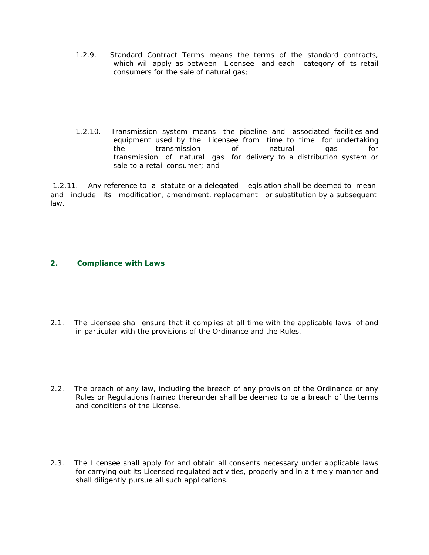- 1.2.9. Standard Contract Terms means the terms of the standard contracts, which will apply as between Licensee and each category of its retail consumers for the sale of natural gas;
- 1.2.10. Transmission system means the pipeline and associated facilities and equipment used by the Licensee from time to time for undertaking the transmission of natural gas for transmission of natural gas for delivery to a distribution system or sale to a retail consumer; and

1.2.11. Any reference to a statute or a delegated legislation shall be deemed to mean and include its modification, amendment, replacement or substitution by a subsequent law.

# **2. Compliance with Laws**

- 2.1. The Licensee shall ensure that it complies at all time with the applicable laws of and in particular with the provisions of the Ordinance and the Rules.
- 2.2. The breach of any law, including the breach of any provision of the Ordinance or any Rules or Regulations framed thereunder shall be deemed to be a breach of the terms and conditions of the License.
- 2.3. The Licensee shall apply for and obtain all consents necessary under applicable laws for carrying out its Licensed regulated activities, properly and in a timely manner and shall diligently pursue all such applications.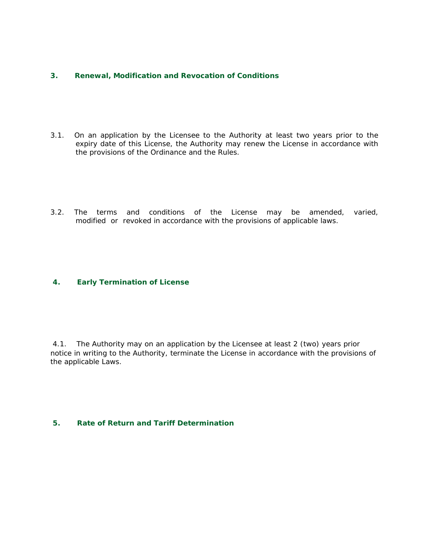#### **3. Renewal, Modification and Revocation of Conditions**

- 3.1. On an application by the Licensee to the Authority at least two years prior to the expiry date of this License, the Authority may renew the License in accordance with the provisions of the Ordinance and the Rules.
- 3.2. The terms and conditions of the License may be amended, varied, modified or revoked in accordance with the provisions of applicable laws.

#### **4. Early Termination of License**

4.1. The Authority may on an application by the Licensee at least 2 (two) years prior notice in writing to the Authority, terminate the License in accordance with the provisions of the applicable Laws.

#### **5. Rate of Return and Tariff Determination**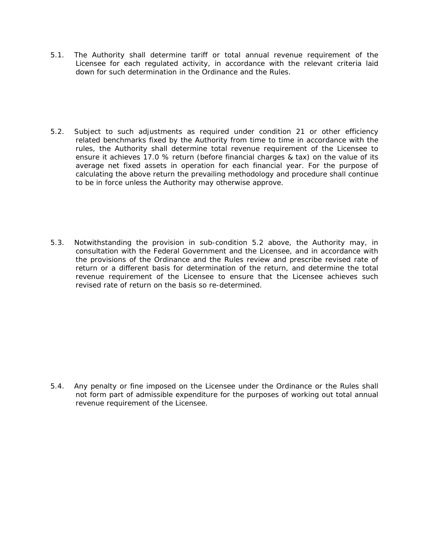- 5.1. The Authority shall determine tariff or total annual revenue requirement of the Licensee for each regulated activity, in accordance with the relevant criteria laid down for such determination in the Ordinance and the Rules.
- 5.2. Subject to such adjustments as required under condition 21 or other efficiency related benchmarks fixed by the Authority from time to time in accordance with the rules, the Authority shall determine total revenue requirement of the Licensee to ensure it achieves 17.0 % return (before financial charges & tax) on the value of its average net fixed assets in operation for each financial year. For the purpose of calculating the above return the prevailing methodology and procedure shall continue to be in force unless the Authority may otherwise approve.
- 5.3. Notwithstanding the provision in sub-condition 5.2 above, the Authority may, in consultation with the Federal Government and the Licensee, and in accordance with the provisions of the Ordinance and the Rules review and prescribe revised rate of return or a different basis for determination of the return, and determine the total revenue requirement of the Licensee to ensure that the Licensee achieves such revised rate of return on the basis so re-determined.

5.4. Any penalty or fine imposed on the Licensee under the Ordinance or the Rules shall not form part of admissible expenditure for the purposes of working out total annual revenue requirement of the Licensee.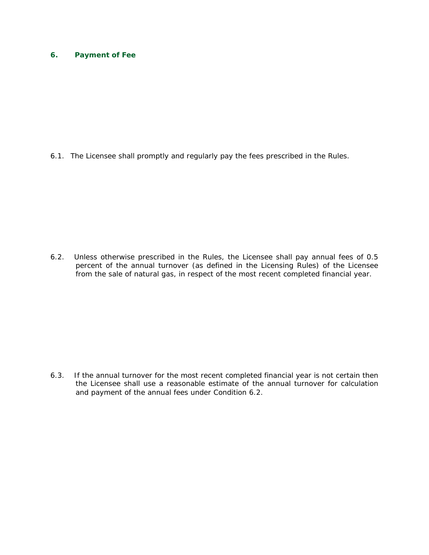# **6. Payment of Fee**

6.1. The Licensee shall promptly and regularly pay the fees prescribed in the Rules.

6.2. Unless otherwise prescribed in the Rules, the Licensee shall pay annual fees of 0.5 percent of the annual turnover (as defined in the Licensing Rules) of the Licensee from the sale of natural gas, in respect of the most recent completed financial year.

6.3. If the annual turnover for the most recent completed financial year is not certain then the Licensee shall use a reasonable estimate of the annual turnover for calculation and payment of the annual fees under Condition 6.2.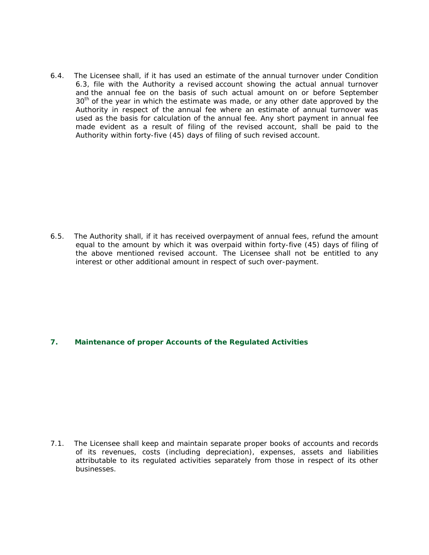6.4. The Licensee shall, if it has used an estimate of the annual turnover under Condition 6.3, file with the Authority a revised account showing the actual annual turnover and the annual fee on the basis of such actual amount on or before September  $30<sup>th</sup>$  of the year in which the estimate was made, or any other date approved by the Authority in respect of the annual fee where an estimate of annual turnover was used as the basis for calculation of the annual fee. Any short payment in annual fee made evident as a result of filing of the revised account, shall be paid to the Authority within forty-five (45) days of filing of such revised account.

6.5. The Authority shall, if it has received overpayment of annual fees, refund the amount equal to the amount by which it was overpaid within forty-five (45) days of filing of the above mentioned revised account. The Licensee shall not be entitled to any interest or other additional amount in respect of such over-payment.

#### **7. Maintenance of proper Accounts of the Regulated Activities**

7.1. The Licensee shall keep and maintain separate proper books of accounts and records of its revenues, costs (including depreciation), expenses, assets and liabilities attributable to its regulated activities separately from those in respect of its other businesses.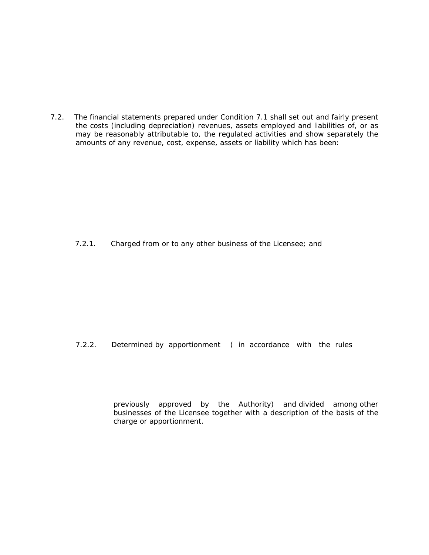7.2. The financial statements prepared under Condition 7.1 shall set out and fairly present the costs (including depreciation) revenues, assets employed and liabilities of, or as may be reasonably attributable to, the regulated activities and show separately the amounts of any revenue, cost, expense, assets or liability which has been:

7.2.1. Charged from or to any other business of the Licensee; and

7.2.2. Determined by apportionment ( in accordance with the rules

previously approved by the Authority) and divided among other businesses of the Licensee together with a description of the basis of the charge or apportionment.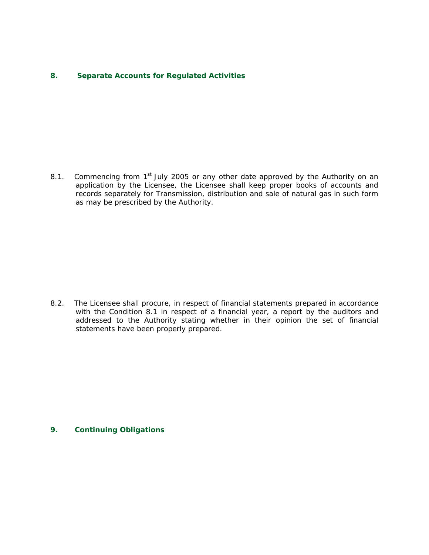#### **8. Separate Accounts for Regulated Activities**

8.1. Commencing from  $1<sup>st</sup>$  July 2005 or any other date approved by the Authority on an application by the Licensee, the Licensee shall keep proper books of accounts and records separately for Transmission, distribution and sale of natural gas in such form as may be prescribed by the Authority.

8.2. The Licensee shall procure, in respect of financial statements prepared in accordance with the Condition 8.1 in respect of a financial year, a report by the auditors and addressed to the Authority stating whether in their opinion the set of financial statements have been properly prepared.

#### **9. Continuing Obligations**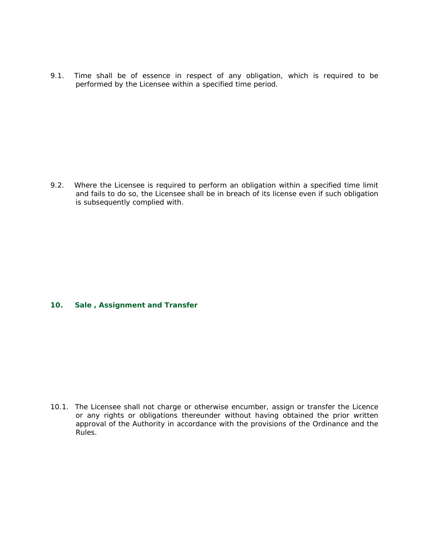9.1. Time shall be of essence in respect of any obligation, which is required to be performed by the Licensee within a specified time period.

9.2. Where the Licensee is required to perform an obligation within a specified time limit and fails to do so, the Licensee shall be in breach of its license even if such obligation is subsequently complied with.

# **10. Sale , Assignment and Transfer**

10.1. The Licensee shall not charge or otherwise encumber, assign or transfer the Licence or any rights or obligations thereunder without having obtained the prior written approval of the Authority in accordance with the provisions of the Ordinance and the Rules.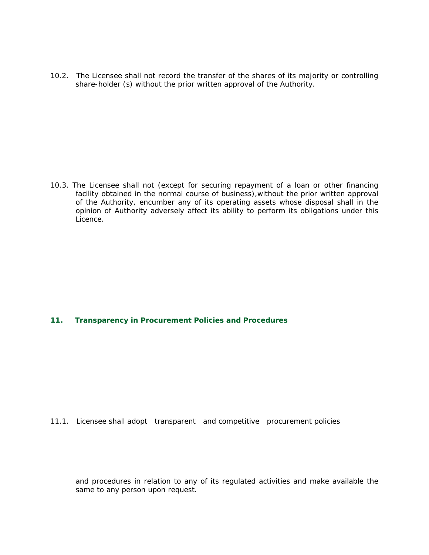10.2. The Licensee shall not record the transfer of the shares of its majority or controlling share-holder (s) without the prior written approval of the Authority.

10.3. The Licensee shall not (except for securing repayment of a loan or other financing facility obtained in the normal course of business), without the prior written approval of the Authority, encumber any of its operating assets whose disposal shall in the opinion of Authority adversely affect its ability to perform its obligations under this Licence.

# **11. Transparency in Procurement Policies and Procedures**

#### 11.1. Licensee shall adopt transparent and competitive procurement policies

and procedures in relation to any of its regulated activities and make available the same to any person upon request.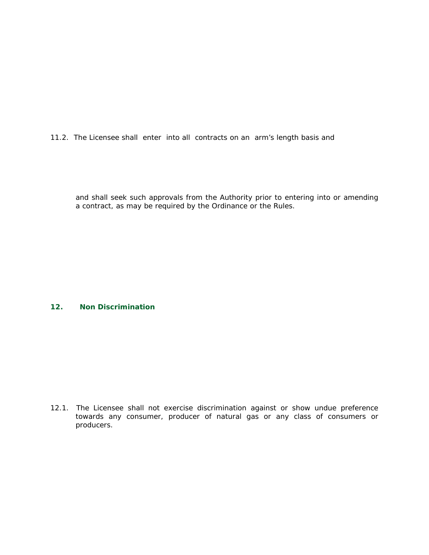11.2. The Licensee shall enter into all contracts on an arm's length basis and

and shall seek such approvals from the Authority prior to entering into or amending a contract, as may be required by the Ordinance or the Rules.

# **12. Non Discrimination**

12.1. The Licensee shall not exercise discrimination against or show undue preference towards any consumer, producer of natural gas or any class of consumers or producers.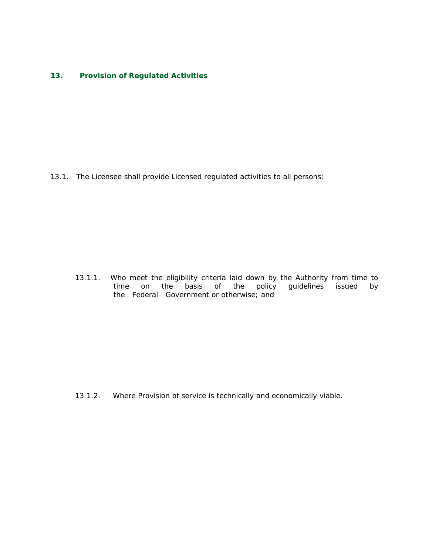#### **13. Provision of Regulated Activities**

13.1. The Licensee shall provide Licensed regulated activities to all persons:

13.1.1. Who meet the eligibility criteria laid down by the Authority from time to<br>time on the basis of the policy guidelines issued by time on the basis of the policy guidelines issued by the Federal Government or otherwise; and

13.1.2. Where Provision of service is technically and economically viable.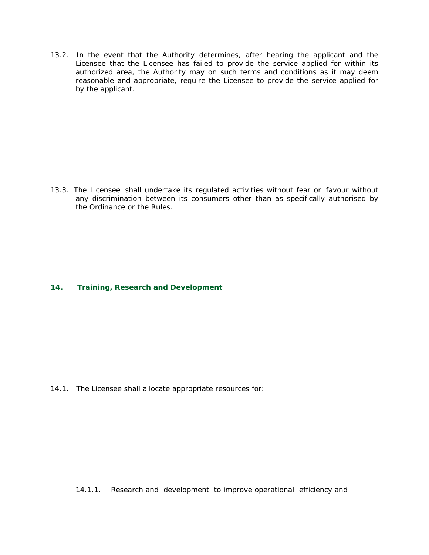13.2. In the event that the Authority determines, after hearing the applicant and the Licensee that the Licensee has failed to provide the service applied for within its authorized area, the Authority may on such terms and conditions as it may deem reasonable and appropriate, require the Licensee to provide the service applied for by the applicant.

13.3. The Licensee shall undertake its regulated activities without fear or favour without any discrimination between its consumers other than as specifically authorised by the Ordinance or the Rules.

# **14. Training, Research and Development**

14.1. The Licensee shall allocate appropriate resources for:

14.1.1. Research and development to improve operational efficiency and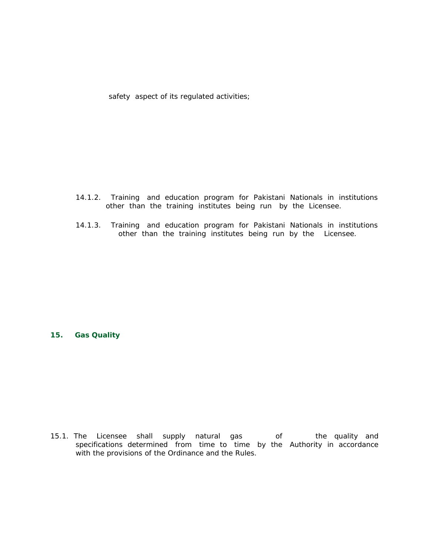safety aspect of its regulated activities;

- 14.1.2. Training and education program for Pakistani Nationals in institutions other than the training institutes being run by the Licensee.
- 14.1.3. Training and education program for Pakistani Nationals in institutions other than the training institutes being run by the Licensee.

#### **15. Gas Quality**

15.1. The Licensee shall supply natural gas of the quality and specifications determined from time to time by the Authority in accordance with the provisions of the Ordinance and the Rules.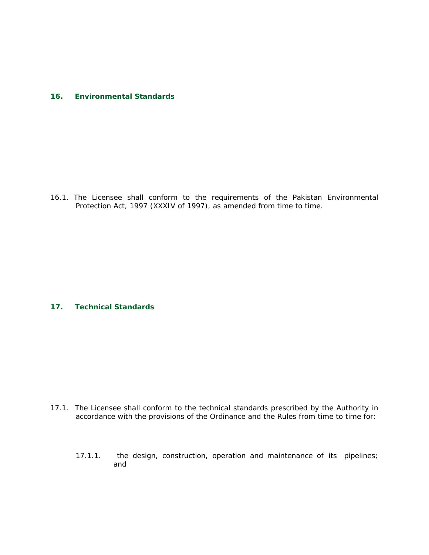#### **16. Environmental Standards**

16.1. The Licensee shall conform to the requirements of the Pakistan Environmental Protection Act, 1997 (XXXIV of 1997), as amended from time to time.

#### **17. Technical Standards**

- 17.1. The Licensee shall conform to the technical standards prescribed by the Authority in accordance with the provisions of the Ordinance and the Rules from time to time for:
	- 17.1.1. the design, construction, operation and maintenance of its pipelines; and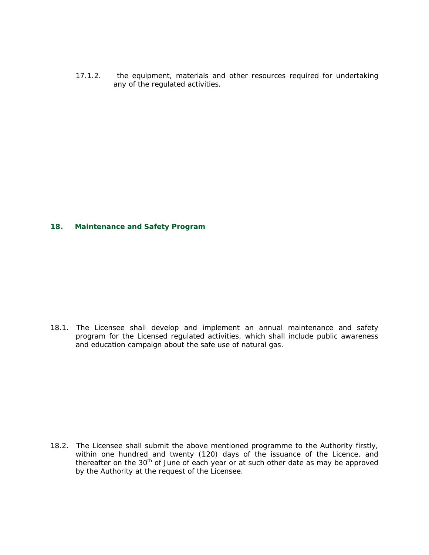17.1.2. the equipment, materials and other resources required for undertaking any of the regulated activities.

#### **18. Maintenance and Safety Program**

18.1. The Licensee shall develop and implement an annual maintenance and safety program for the Licensed regulated activities, which shall include public awareness and education campaign about the safe use of natural gas.

18.2. The Licensee shall submit the above mentioned programme to the Authority firstly, within one hundred and twenty (120) days of the issuance of the Licence, and thereafter on the 30th of June of each year or at such other date as may be approved by the Authority at the request of the Licensee.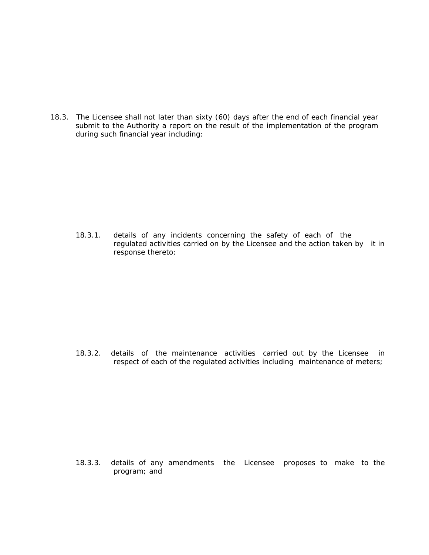18.3. The Licensee shall not later than sixty (60) days after the end of each financial year submit to the Authority a report on the result of the implementation of the program during such financial year including:

18.3.1. details of any incidents concerning the safety of each of the regulated activities carried on by the Licensee and the action taken by it in response thereto;

18.3.2. details of the maintenance activities carried out by the Licensee in respect of each of the regulated activities including maintenance of meters;

18.3.3. details of any amendments the Licensee proposes to make to the program; and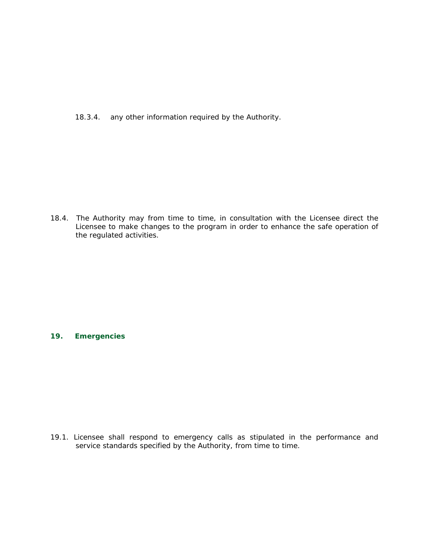18.3.4. any other information required by the Authority.

18.4. The Authority may from time to time, in consultation with the Licensee direct the Licensee to make changes to the program in order to enhance the safe operation of the regulated activities.

# **19. Emergencies**

19.1. Licensee shall respond to emergency calls as stipulated in the performance and service standards specified by the Authority, from time to time.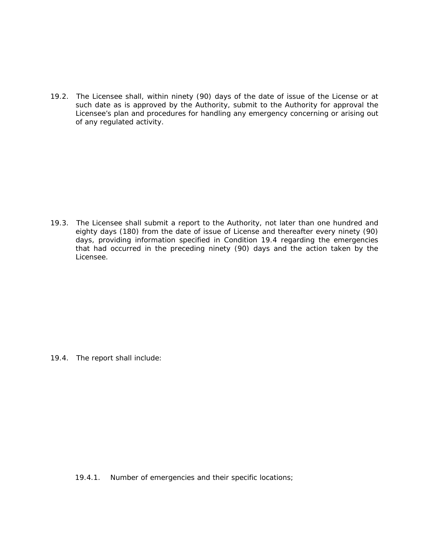19.2. The Licensee shall, within ninety (90) days of the date of issue of the License or at such date as is approved by the Authority, submit to the Authority for approval the Licensee's plan and procedures for handling any emergency concerning or arising out of any regulated activity.

19.3. The Licensee shall submit a report to the Authority, not later than one hundred and eighty days (180) from the date of issue of License and thereafter every ninety (90) days, providing information specified in Condition 19.4 regarding the emergencies that had occurred in the preceding ninety (90) days and the action taken by the Licensee.

19.4. The report shall include:

19.4.1. Number of emergencies and their specific locations;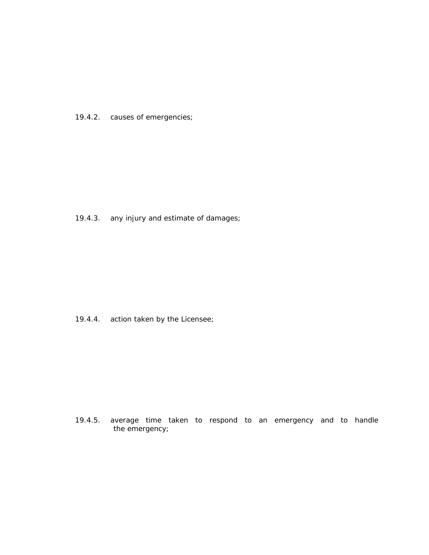19.4.2. causes of emergencies;

19.4.3. any injury and estimate of damages;

19.4.4. action taken by the Licensee;

 19.4.5. average time taken to respond to an emergency and to handle the emergency;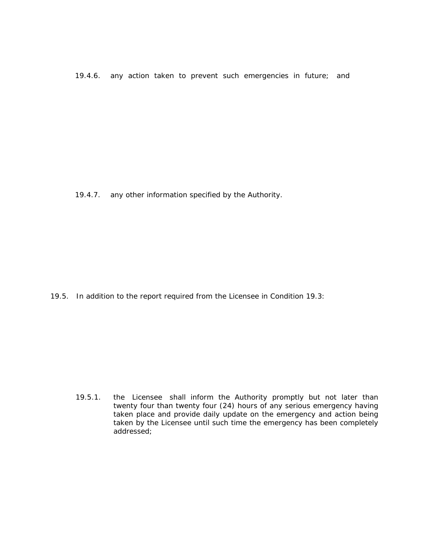19.4.6. any action taken to prevent such emergencies in future; and

19.4.7. any other information specified by the Authority.

19.5. In addition to the report required from the Licensee in Condition 19.3:

19.5.1. the Licensee shall inform the Authority promptly but not later than twenty four than twenty four (24) hours of any serious emergency having taken place and provide daily update on the emergency and action being taken by the Licensee until such time the emergency has been completely addressed;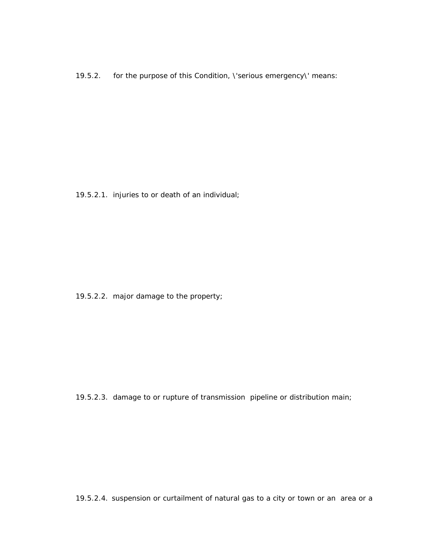19.5.2. for the purpose of this Condition, \'serious emergency\' means:

19.5.2.1. injuries to or death of an individual;

19.5.2.2. major damage to the property;

19.5.2.3. damage to or rupture of transmission pipeline or distribution main;

19.5.2.4. suspension or curtailment of natural gas to a city or town or an area or a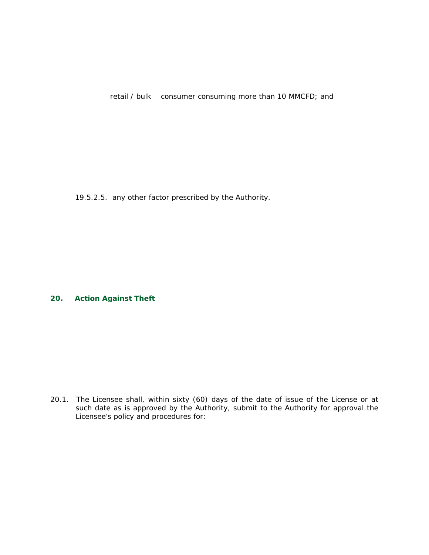retail / bulk consumer consuming more than 10 MMCFD; and

19.5.2.5. any other factor prescribed by the Authority.

#### **20. Action Against Theft**

20.1. The Licensee shall, within sixty (60) days of the date of issue of the License or at such date as is approved by the Authority, submit to the Authority for approval the Licensee's policy and procedures for: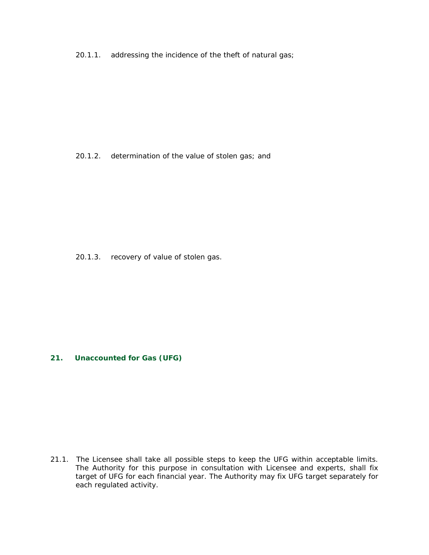20.1.1. addressing the incidence of the theft of natural gas;

20.1.2. determination of the value of stolen gas; and

20.1.3. recovery of value of stolen gas.

#### **21. Unaccounted for Gas (UFG)**

21.1. The Licensee shall take all possible steps to keep the UFG within acceptable limits. The Authority for this purpose in consultation with Licensee and experts, shall fix target of UFG for each financial year. The Authority may fix UFG target separately for each regulated activity.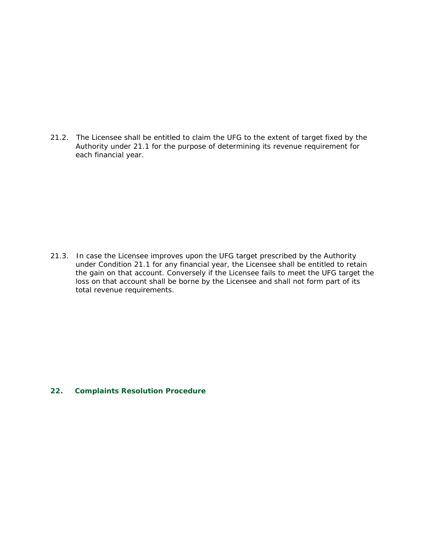21.2. The Licensee shall be entitled to claim the UFG to the extent of target fixed by the Authority under 21.1 for the purpose of determining its revenue requirement for each financial year.

21.3. In case the Licensee improves upon the UFG target prescribed by the Authority under Condition 21.1 for any financial year, the Licensee shall be entitled to retain the gain on that account. Conversely if the Licensee fails to meet the UFG target the loss on that account shall be borne by the Licensee and shall not form part of its total revenue requirements.

# **22. Complaints Resolution Procedure**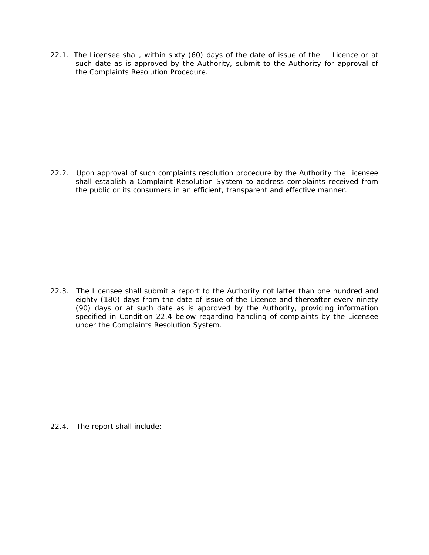22.1. The Licensee shall, within sixty (60) days of the date of issue of the Licence or at such date as is approved by the Authority, submit to the Authority for approval of the Complaints Resolution Procedure.

22.2. Upon approval of such complaints resolution procedure by the Authority the Licensee shall establish a Complaint Resolution System to address complaints received from the public or its consumers in an efficient, transparent and effective manner.

22.3. The Licensee shall submit a report to the Authority not latter than one hundred and eighty (180) days from the date of issue of the Licence and thereafter every ninety (90) days or at such date as is approved by the Authority, providing information specified in Condition 22.4 below regarding handling of complaints by the Licensee under the Complaints Resolution System.

22.4. The report shall include: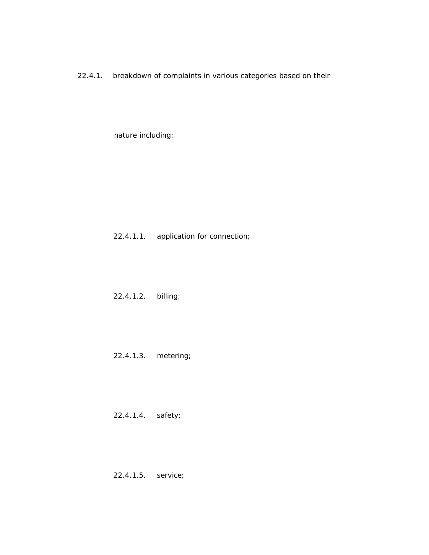22.4.1. breakdown of complaints in various categories based on their

nature including:

# 22.4.1.1. application for connection;

22.4.1.2. billing;

22.4.1.3. metering;

22.4.1.4. safety;

22.4.1.5. service;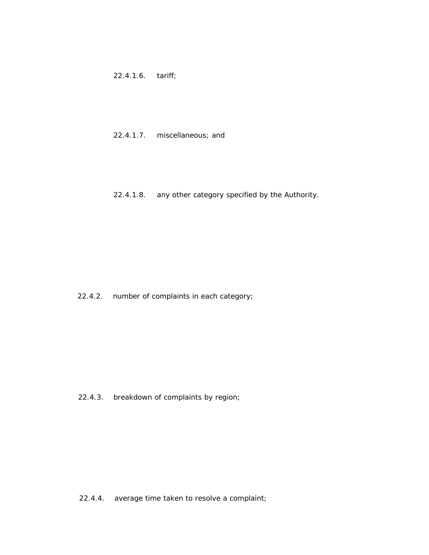22.4.1.6. tariff;

# 22.4.1.7. miscellaneous; and

22.4.1.8. any other category specified by the Authority.

22.4.2. number of complaints in each category;

22.4.3. breakdown of complaints by region;

22.4.4. average time taken to resolve a complaint;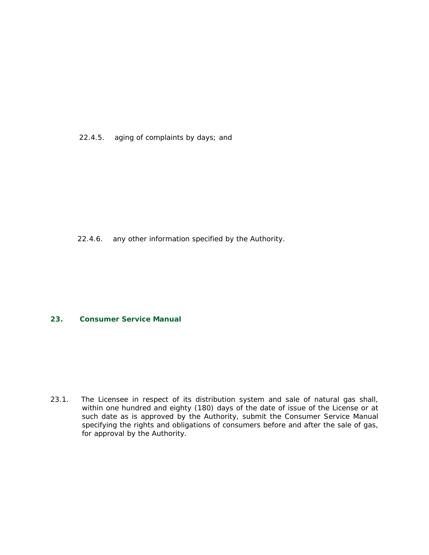22.4.5. aging of complaints by days; and

22.4.6. any other information specified by the Authority.

#### **23. Consumer Service Manual**

23.1. The Licensee in respect of its distribution system and sale of natural gas shall, within one hundred and eighty (180) days of the date of issue of the License or at such date as is approved by the Authority, submit the Consumer Service Manual specifying the rights and obligations of consumers before and after the sale of gas, for approval by the Authority.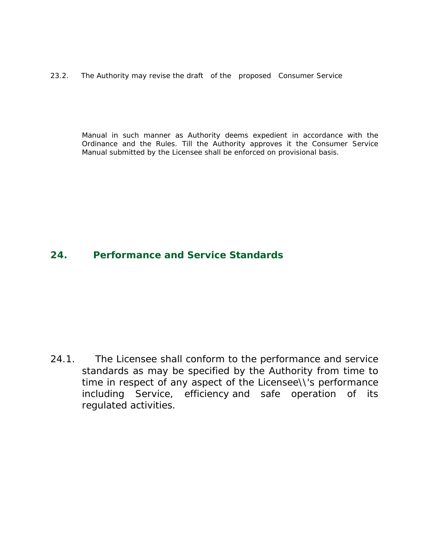23.2. The Authority may revise the draft of the proposed Consumer Service

Manual in such manner as Authority deems expedient in accordance with the Ordinance and the Rules. Till the Authority approves it the Consumer Service Manual submitted by the Licensee shall be enforced on provisional basis.

# **24. Performance and Service Standards**

24.1. The Licensee shall conform to the performance and service standards as may be specified by the Authority from time to time in respect of any aspect of the Licensee\\'s performance including Service, efficiency and safe operation of its regulated activities.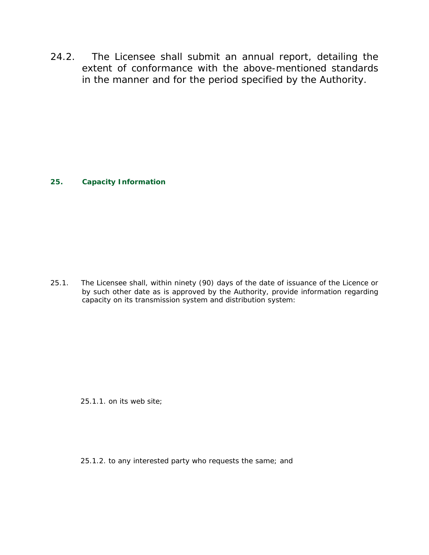24.2. The Licensee shall submit an annual report, detailing the extent of conformance with the above-mentioned standards in the manner and for the period specified by the Authority.

# **25. Capacity Information**

25.1. The Licensee shall, within ninety (90) days of the date of issuance of the Licence or by such other date as is approved by the Authority, provide information regarding capacity on its transmission system and distribution system:

25.1.1. on its web site;

25.1.2. to any interested party who requests the same; and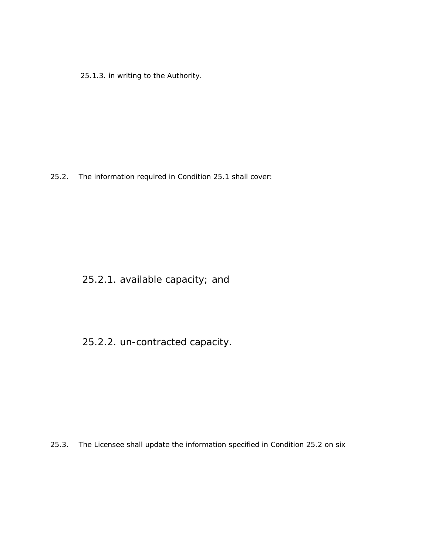25.1.3. in writing to the Authority.

25.2. The information required in Condition 25.1 shall cover:

25.2.1. available capacity; and

25.2.2. un-contracted capacity.

25.3. The Licensee shall update the information specified in Condition 25.2 on six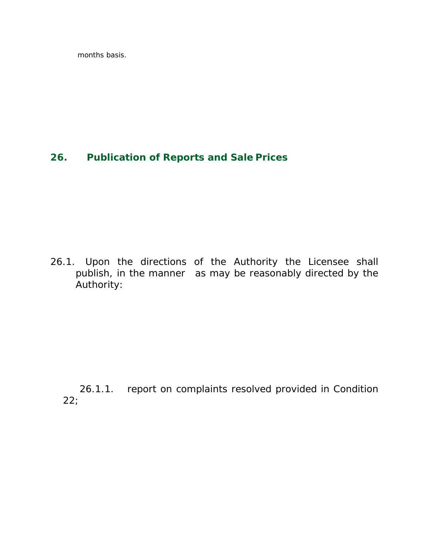months basis.

# **26. Publication of Reports and Sale Prices**

26.1. Upon the directions of the Authority the Licensee shall publish, in the manner as may be reasonably directed by the Authority:

 26.1.1. report on complaints resolved provided in Condition 22;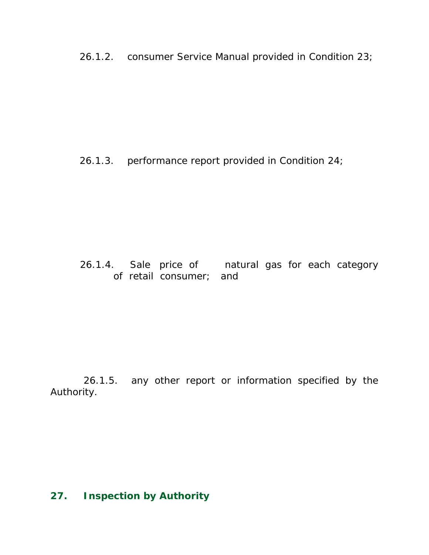26.1.2. consumer Service Manual provided in Condition 23;

26.1.3. performance report provided in Condition 24;

 26.1.4. Sale price of natural gas for each category of retail consumer; and

 26.1.5. any other report or information specified by the Authority.

# **27. Inspection by Authority**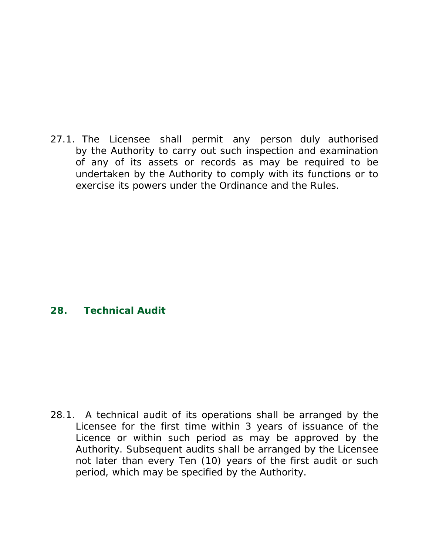27.1. The Licensee shall permit any person duly authorised by the Authority to carry out such inspection and examination of any of its assets or records as may be required to be undertaken by the Authority to comply with its functions or to exercise its powers under the Ordinance and the Rules.

### **28. Technical Audit**

28.1. A technical audit of its operations shall be arranged by the Licensee for the first time within 3 years of issuance of the Licence or within such period as may be approved by the Authority. Subsequent audits shall be arranged by the Licensee not later than every Ten (10) years of the first audit or such period, which may be specified by the Authority.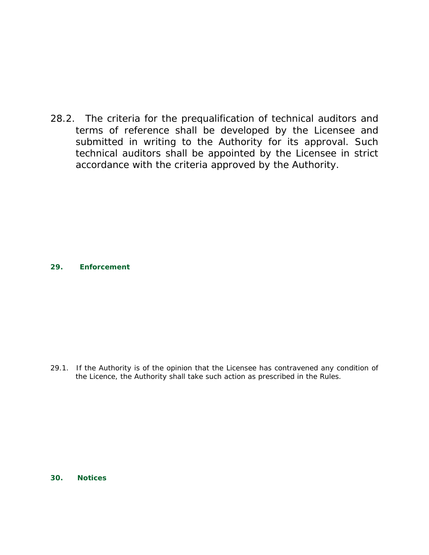28.2. The criteria for the prequalification of technical auditors and terms of reference shall be developed by the Licensee and submitted in writing to the Authority for its approval. Such technical auditors shall be appointed by the Licensee in strict accordance with the criteria approved by the Authority.

**29. Enforcement**

29.1. If the Authority is of the opinion that the Licensee has contravened any condition of the Licence, the Authority shall take such action as prescribed in the Rules.

**30. Notices**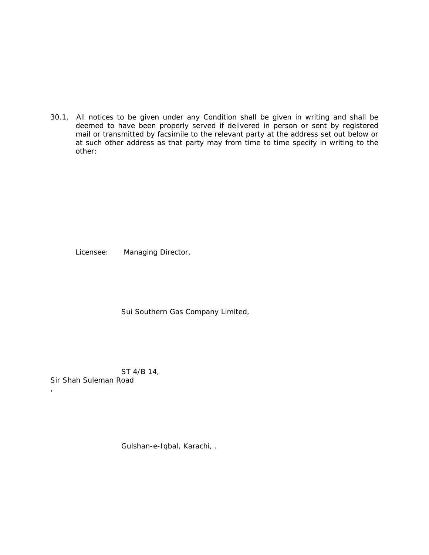30.1. All notices to be given under any Condition shall be given in writing and shall be deemed to have been properly served if delivered in person or sent by registered mail or transmitted by facsimile to the relevant party at the address set out below or at such other address as that party may from time to time specify in writing to the other:

Licensee: Managing Director,

Sui Southern Gas Company Limited,

 ST 4/B 14, *Sir Shah Suleman Road*

,

Gulshan-e-Iqbal, Karachi, .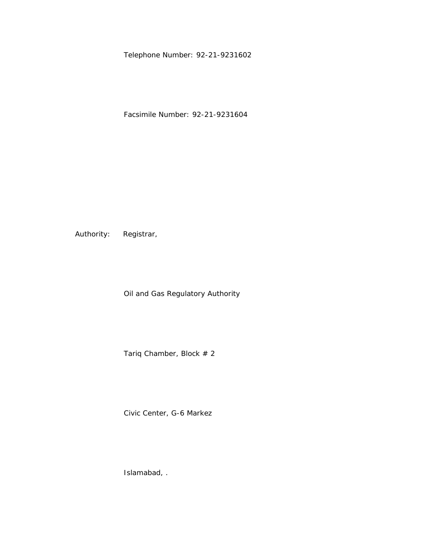Telephone Number: 92-21-9231602

Facsimile Number: 92-21-9231604

Authority: Registrar,

Oil and Gas Regulatory Authority

Tariq Chamber, Block # 2

Civic Center, G-6 Markez

Islamabad, .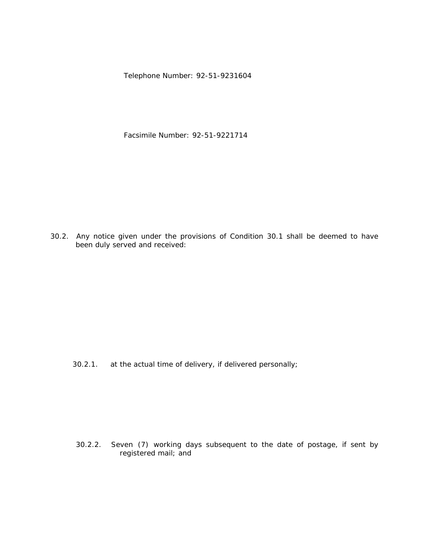Telephone Number: 92-51-9231604

Facsimile Number: 92-51-9221714

30.2. Any notice given under the provisions of Condition 30.1 shall be deemed to have been duly served and received:

30.2.1. at the actual time of delivery, if delivered personally;

 30.2.2. Seven (7) working days subsequent to the date of postage, if sent by registered mail; and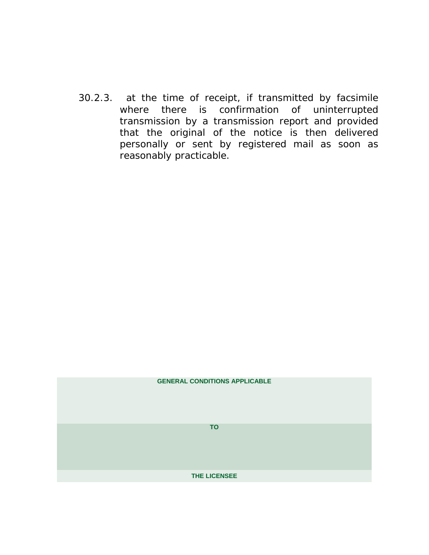30.2.3. at the time of receipt, if transmitted by facsimile where there is confirmation of uninterrupted transmission by a transmission report and provided that the original of the notice is then delivered personally or sent by registered mail as soon as reasonably practicable.

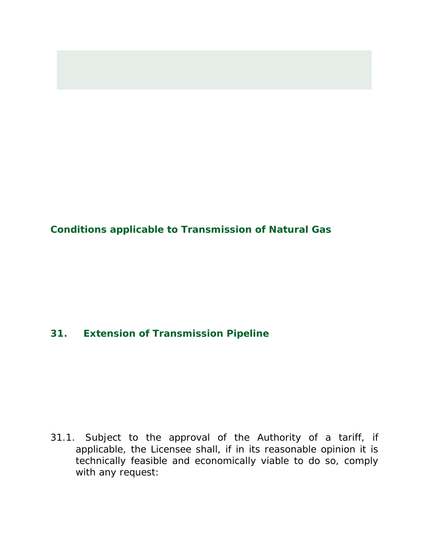**Conditions applicable to Transmission of Natural Gas**

# **31. Extension of Transmission Pipeline**

31.1. Subject to the approval of the Authority of a tariff, if applicable, the Licensee shall, if in its reasonable opinion it is technically feasible and economically viable to do so, comply with any request: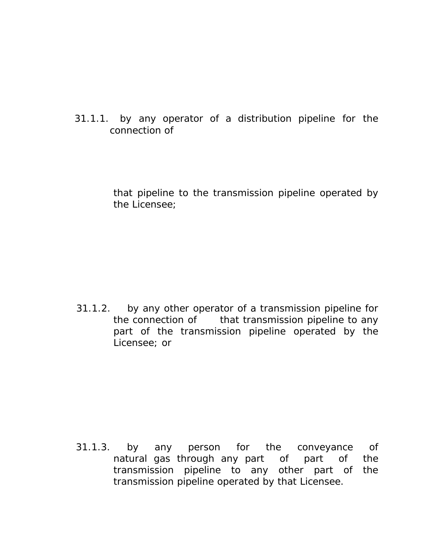31.1.1. by any operator of a distribution pipeline for the connection of

> that pipeline to the transmission pipeline operated by the Licensee;

 31.1.2. by any other operator of a transmission pipeline for the connection of that transmission pipeline to any part of the transmission pipeline operated by the Licensee; or

 31.1.3. by any person for the conveyance of natural gas through any part of part of the transmission pipeline to any other part of the transmission pipeline operated by that Licensee.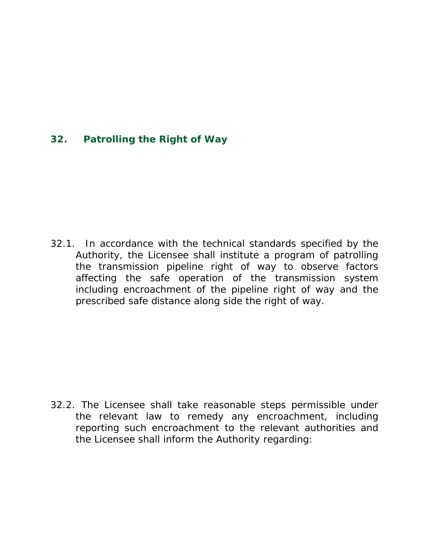### **32. Patrolling the Right of Way**

32.1. In accordance with the technical standards specified by the Authority, the Licensee shall institute a program of patrolling the transmission pipeline right of way to observe factors affecting the safe operation of the transmission system including encroachment of the pipeline right of way and the prescribed safe distance along side the right of way.

32.2. The Licensee shall take reasonable steps permissible under the relevant law to remedy any encroachment, including reporting such encroachment to the relevant authorities and the Licensee shall inform the Authority regarding: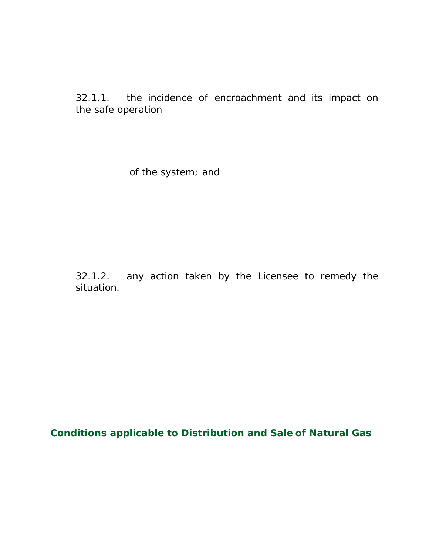32.1.1. the incidence of encroachment and its impact on the safe operation

of the system; and

32.1.2. any action taken by the Licensee to remedy the situation.

**Conditions applicable to Distribution and Sale of Natural Gas**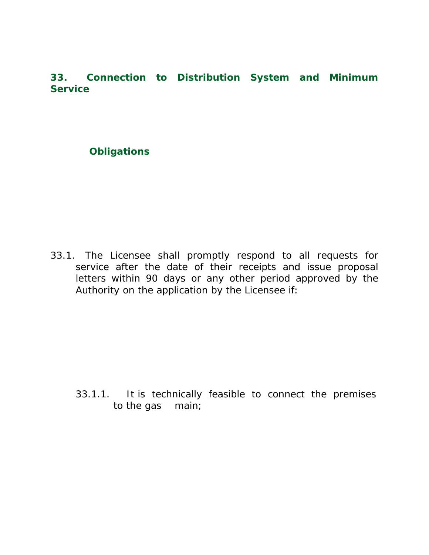**33. Connection to Distribution System and Minimum Service**

### **Obligations**

33.1. The Licensee shall promptly respond to all requests for service after the date of their receipts and issue proposal letters within 90 days or any other period approved by the Authority on the application by the Licensee if:

33.1.1. It is technically feasible to connect the premises to the gas main;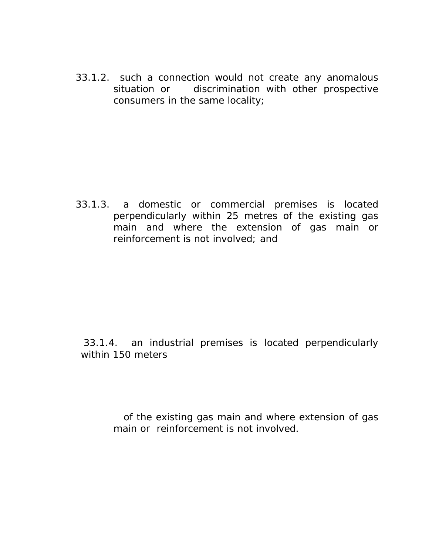33.1.2. such a connection would not create any anomalous situation or discrimination with other prospective consumers in the same locality;

33.1.3. a domestic or commercial premises is located perpendicularly within 25 metres of the existing gas main and where the extension of gas main or reinforcement is not involved; and

 33.1.4. an industrial premises is located perpendicularly within 150 meters

> of the existing gas main and where extension of gas main or reinforcement is not involved.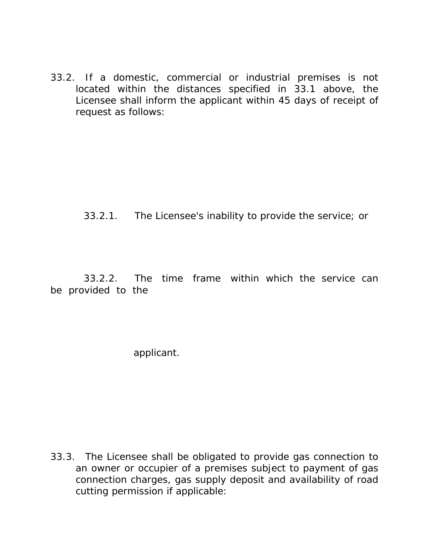33.2. If a domestic, commercial or industrial premises is not located within the distances specified in 33.1 above, the Licensee shall inform the applicant within 45 days of receipt of request as follows:

#### 33.2.1. The Licensee's inability to provide the service; or

 33.2.2. The time frame within which the service can be provided to the

applicant.

33.3. The Licensee shall be obligated to provide gas connection to an owner or occupier of a premises subject to payment of gas connection charges, gas supply deposit and availability of road cutting permission if applicable: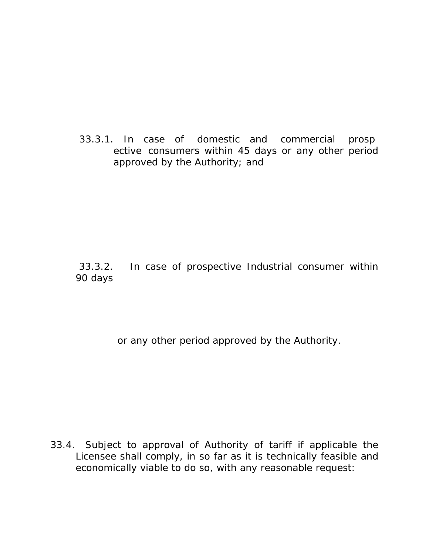33.3.1. In case of domestic and commercial prosp ective consumers within 45 days or any other period approved by the Authority; and

### 33.3.2. In case of prospective Industrial consumer within 90 days

or any other period approved by the Authority.

33.4. Subject to approval of Authority of tariff if applicable the Licensee shall comply, in so far as it is technically feasible and economically viable to do so, with any reasonable request: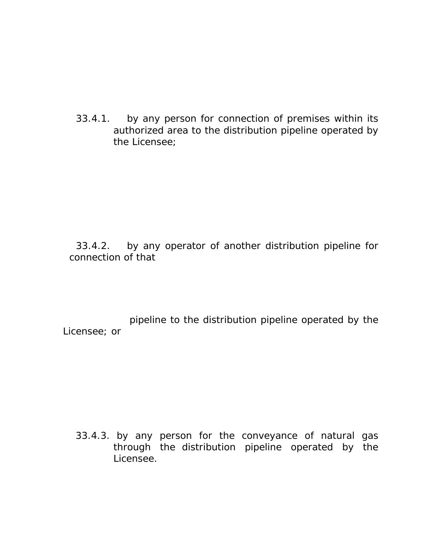33.4.1. by any person for connection of premises within its authorized area to the distribution pipeline operated by the Licensee;

 33.4.2. by any operator of another distribution pipeline for connection of that

 pipeline to the distribution pipeline operated by the Licensee; or

33.4.3. by any person for the conveyance of natural gas through the distribution pipeline operated by the Licensee.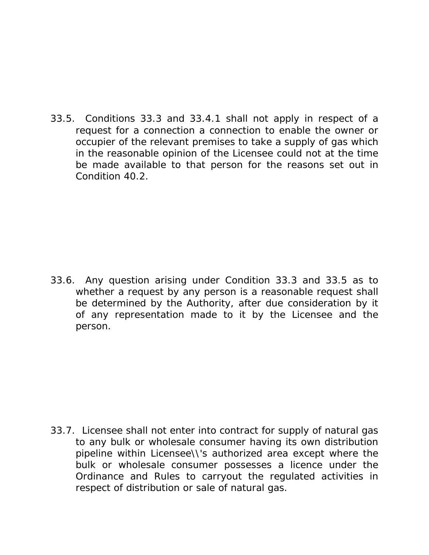33.5. Conditions 33.3 and 33.4.1 shall not apply in respect of a request for a connection a connection to enable the owner or occupier of the relevant premises to take a supply of gas which in the reasonable opinion of the Licensee could not at the time be made available to that person for the reasons set out in Condition 40.2.

33.6. Any question arising under Condition 33.3 and 33.5 as to whether a request by any person is a reasonable request shall be determined by the Authority, after due consideration by it of any representation made to it by the Licensee and the person.

33.7. Licensee shall not enter into contract for supply of natural gas to any bulk or wholesale consumer having its own distribution pipeline within Licensee\\'s authorized area except where the bulk or wholesale consumer possesses a licence under the Ordinance and Rules to carryout the regulated activities in respect of distribution or sale of natural gas.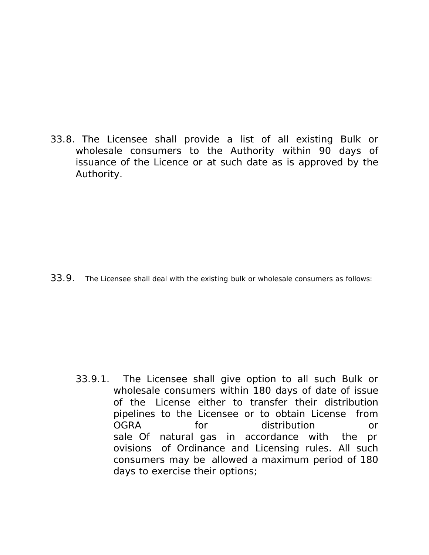33.8. The Licensee shall provide a list of all existing Bulk or wholesale consumers to the Authority within 90 days of issuance of the Licence or at such date as is approved by the Authority.

33.9. The Licensee shall deal with the existing bulk or wholesale consumers as follows:

33.9.1. The Licensee shall give option to all such Bulk or wholesale consumers within 180 days of date of issue of the License either to transfer their distribution pipelines to the Licensee or to obtain License from OGRA for distribution or sale Of natural gas in accordance with the pr ovisions of Ordinance and Licensing rules. All such consumers may be allowed a maximum period of 180 days to exercise their options;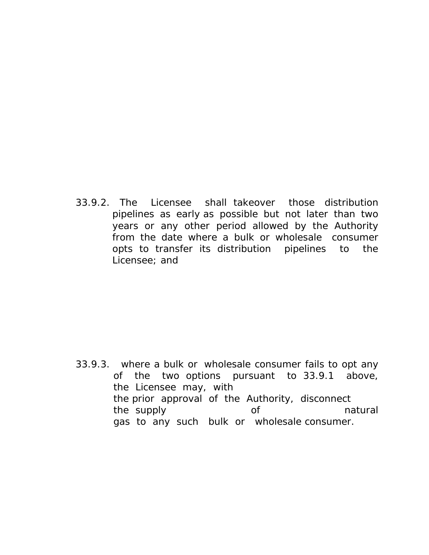33.9.2. The Licensee shall takeover those distribution pipelines as early as possible but not later than two years or any other period allowed by the Authority from the date where a bulk or wholesale consumer opts to transfer its distribution pipelines to the Licensee; and

33.9.3. where a bulk or wholesale consumer fails to opt any of the two options pursuant to 33.9.1 above, the Licensee may, with the prior approval of the Authority, disconnect the supply of the supply of the natural gas to any such bulk or wholesale consumer.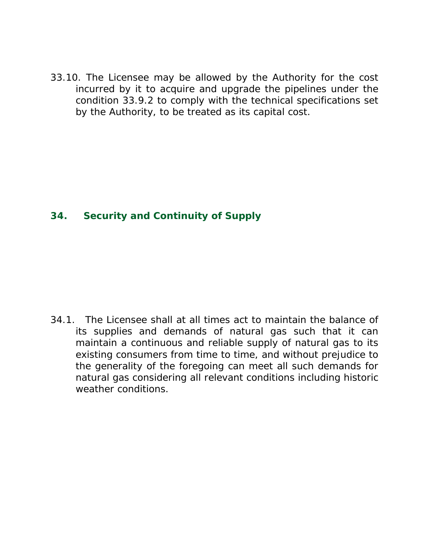33.10. The Licensee may be allowed by the Authority for the cost incurred by it to acquire and upgrade the pipelines under the condition 33.9.2 to comply with the technical specifications set by the Authority, to be treated as its capital cost.

### **34. Security and Continuity of Supply**

34.1. The Licensee shall at all times act to maintain the balance of its supplies and demands of natural gas such that it can maintain a continuous and reliable supply of natural gas to its existing consumers from time to time, and without prejudice to the generality of the foregoing can meet all such demands for natural gas considering all relevant conditions including historic weather conditions.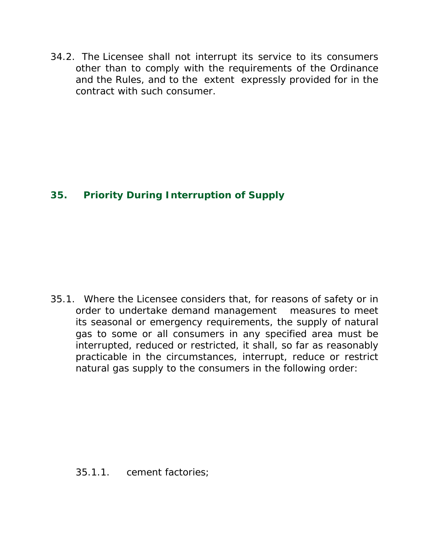34.2. The Licensee shall not interrupt its service to its consumers other than to comply with the requirements of the Ordinance and the Rules, and to the extent expressly provided for in the contract with such consumer.

# **35. Priority During Interruption of Supply**

35.1. Where the Licensee considers that, for reasons of safety or in order to undertake demand management measures to meet its seasonal or emergency requirements, the supply of natural gas to some or all consumers in any specified area must be interrupted, reduced or restricted, it shall, so far as reasonably practicable in the circumstances, interrupt, reduce or restrict natural gas supply to the consumers in the following order:

35.1.1. cement factories;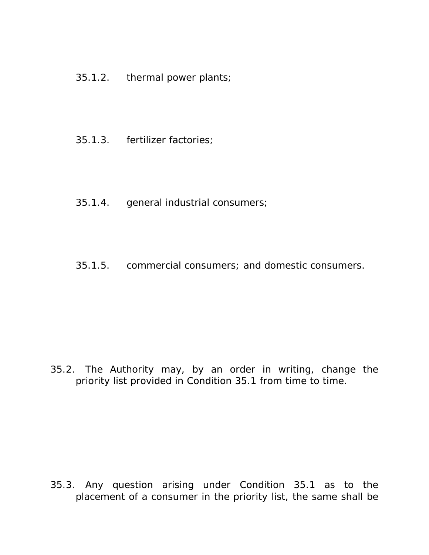- 35.1.2. thermal power plants;
- 35.1.3. fertilizer factories;
- 35.1.4. general industrial consumers;
- 35.1.5. commercial consumers; and domestic consumers.

35.2. The Authority may, by an order in writing, change the priority list provided in Condition 35.1 from time to time.

35.3. Any question arising under Condition 35.1 as to the placement of a consumer in the priority list, the same shall be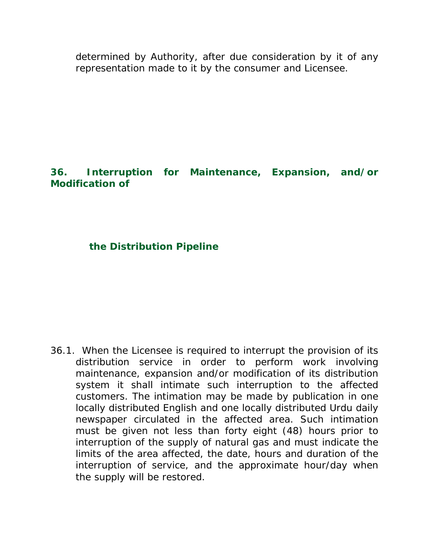determined by Authority, after due consideration by it of any representation made to it by the consumer and Licensee.

# **36. Interruption for Maintenance, Expansion, and/or Modification of**

### **the Distribution Pipeline**

36.1. When the Licensee is required to interrupt the provision of its distribution service in order to perform work involving maintenance, expansion and/or modification of its distribution system it shall intimate such interruption to the affected customers. The intimation may be made by publication in one locally distributed English and one locally distributed Urdu daily newspaper circulated in the affected area. Such intimation must be given not less than forty eight (48) hours prior to interruption of the supply of natural gas and must indicate the limits of the area affected, the date, hours and duration of the interruption of service, and the approximate hour/day when the supply will be restored.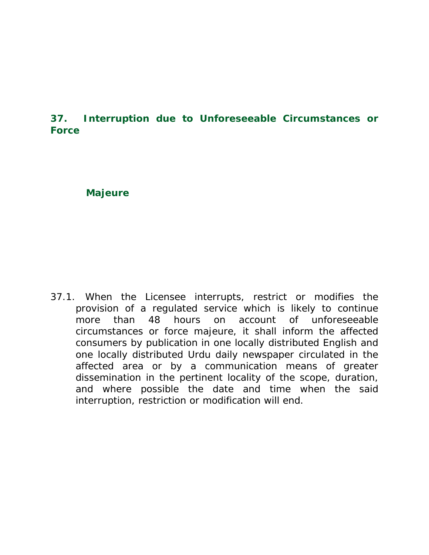## **37. Interruption due to Unforeseeable Circumstances or Force**

#### **Majeure**

37.1. When the Licensee interrupts, restrict or modifies the provision of a regulated service which is likely to continue more than 48 hours on account of unforeseeable circumstances or force majeure, it shall inform the affected consumers by publication in one locally distributed English and one locally distributed Urdu daily newspaper circulated in the affected area or by a communication means of greater dissemination in the pertinent locality of the scope, duration, and where possible the date and time when the said interruption, restriction or modification will end.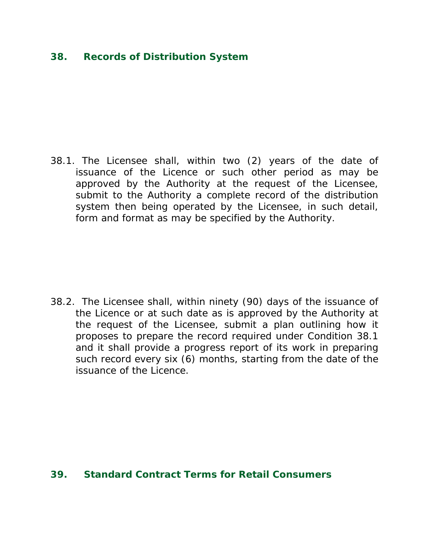### **38. Records of Distribution System**

38.1. The Licensee shall, within two (2) years of the date of issuance of the Licence or such other period as may be approved by the Authority at the request of the Licensee, submit to the Authority a complete record of the distribution system then being operated by the Licensee, in such detail, form and format as may be specified by the Authority.

38.2. The Licensee shall, within ninety (90) days of the issuance of the Licence or at such date as is approved by the Authority at the request of the Licensee, submit a plan outlining how it proposes to prepare the record required under Condition 38.1 and it shall provide a progress report of its work in preparing such record every six (6) months, starting from the date of the issuance of the Licence.

#### **39. Standard Contract Terms for Retail Consumers**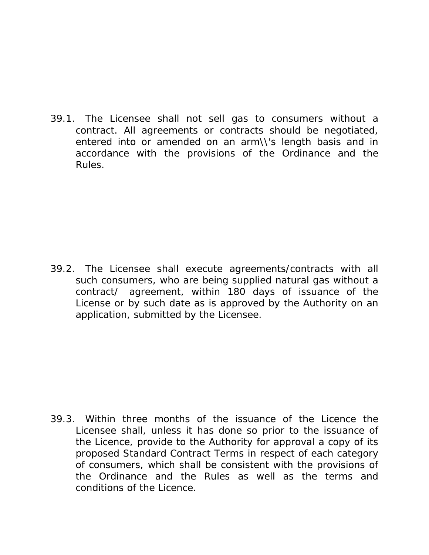39.1. The Licensee shall not sell gas to consumers without a contract. All agreements or contracts should be negotiated, entered into or amended on an arm\\'s length basis and in accordance with the provisions of the Ordinance and the Rules.

39.2. The Licensee shall execute agreements/contracts with all such consumers, who are being supplied natural gas without a contract/ agreement, within 180 days of issuance of the License or by such date as is approved by the Authority on an application, submitted by the Licensee.

39.3. Within three months of the issuance of the Licence the Licensee shall, unless it has done so prior to the issuance of the Licence, provide to the Authority for approval a copy of its proposed Standard Contract Terms in respect of each category of consumers, which shall be consistent with the provisions of the Ordinance and the Rules as well as the terms and conditions of the Licence.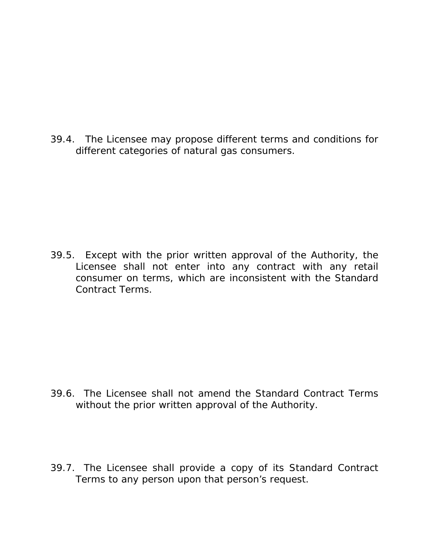39.4. The Licensee may propose different terms and conditions for different categories of natural gas consumers.

39.5. Except with the prior written approval of the Authority, the Licensee shall not enter into any contract with any retail consumer on terms, which are inconsistent with the Standard Contract Terms.

- 39.6. The Licensee shall not amend the Standard Contract Terms without the prior written approval of the Authority.
- 39.7. The Licensee shall provide a copy of its Standard Contract Terms to any person upon that person's request.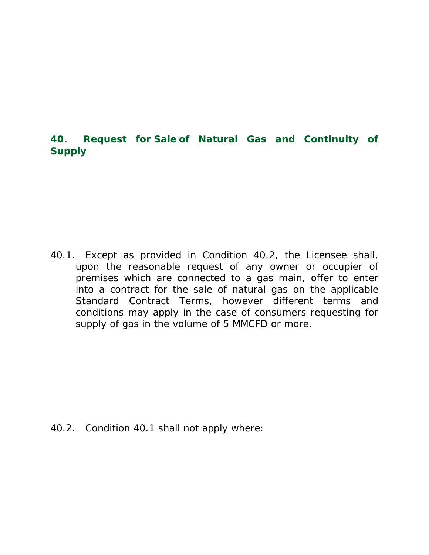# **40. Request for Sale of Natural Gas and Continuity of Supply**

40.1. Except as provided in Condition 40.2, the Licensee shall, upon the reasonable request of any owner or occupier of premises which are connected to a gas main, offer to enter into a contract for the sale of natural gas on the applicable Standard Contract Terms, however different terms and conditions may apply in the case of consumers requesting for supply of gas in the volume of 5 MMCFD or more.

40.2. Condition 40.1 shall not apply where: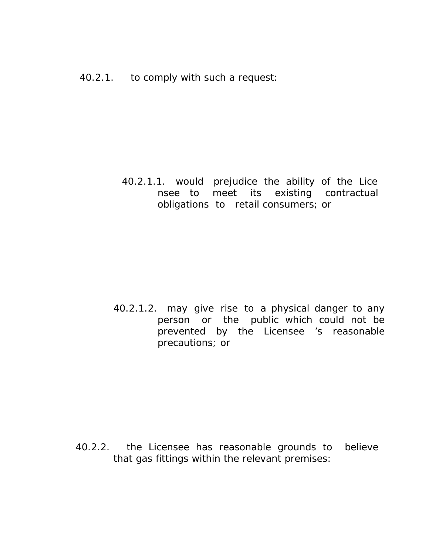40.2.1.1. would prejudice the ability of the Lice nsee to meet its existing contractual obligations to retail consumers; or

40.2.1.2. may give rise to a physical danger to any person or the public which could not be prevented by the Licensee 's reasonable precautions; or

40.2.2. the Licensee has reasonable grounds to believe that gas fittings within the relevant premises: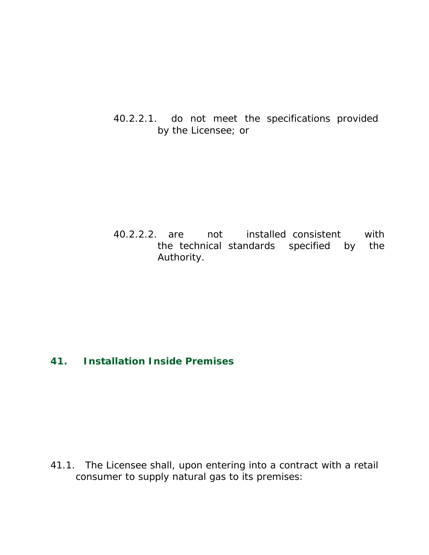40.2.2.1. do not meet the specifications provided by the Licensee; or

40.2.2.2. are not installed consistent with the technical standards specified by the Authority.

# **41. Installation Inside Premises**

41.1. The Licensee shall, upon entering into a contract with a retail consumer to supply natural gas to its premises: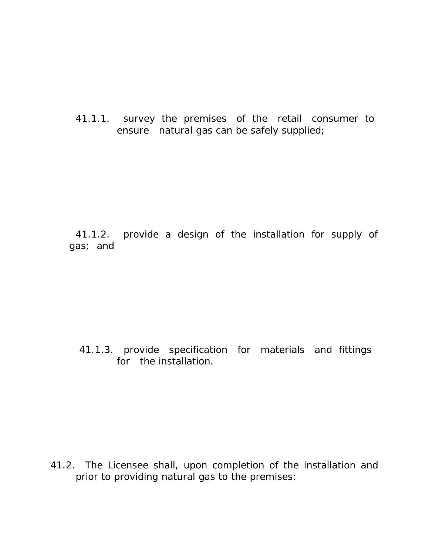41.1.1. survey the premises of the retail consumer to ensure natural gas can be safely supplied;

41.1.2. provide a design of the installation for supply of gas; and

### 41.1.3. provide specification for materials and fittings for the installation.

41.2. The Licensee shall, upon completion of the installation and prior to providing natural gas to the premises: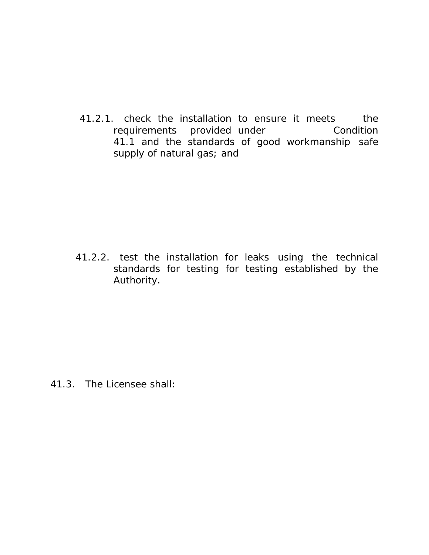41.2.1. check the installation to ensure it meets the requirements provided under Condition 41.1 and the standards of good workmanship safe supply of natural gas; and

41.2.2. test the installation for leaks using the technical standards for testing for testing established by the Authority.

41.3. The Licensee shall: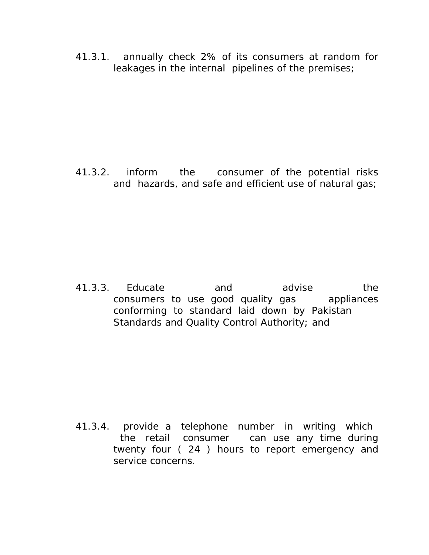41.3.1. annually check 2% of its consumers at random for leakages in the internal pipelines of the premises;

41.3.2. inform the consumer of the potential risks and hazards, and safe and efficient use of natural gas;

41.3.3. Educate and advise the consumers to use good quality gas appliances conforming to standard laid down by Pakistan Standards and Quality Control Authority; and

41.3.4. provide a telephone number in writing which the retail consumer can use any time during twenty four ( 24 ) hours to report emergency and service concerns.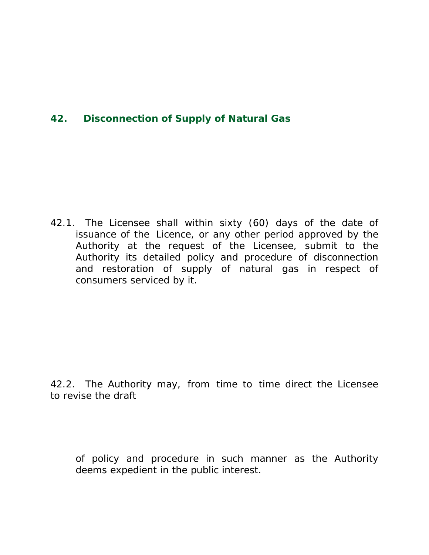# **42. Disconnection of Supply of Natural Gas**

42.1. The Licensee shall within sixty (60) days of the date of issuance of the Licence, or any other period approved by the Authority at the request of the Licensee, submit to the Authority its detailed policy and procedure of disconnection and restoration of supply of natural gas in respect of consumers serviced by it.

42.2. The Authority may, from time to time direct the Licensee to revise the draft

of policy and procedure in such manner as the Authority deems expedient in the public interest.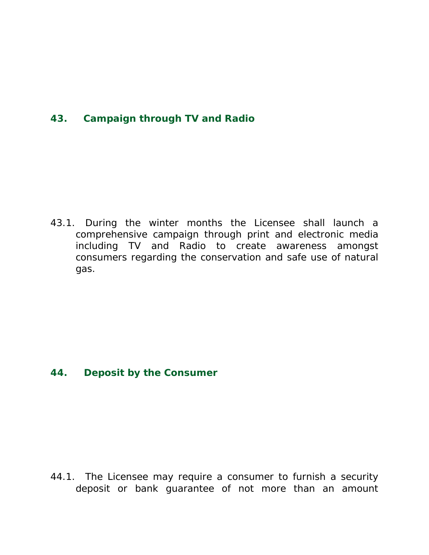# **43. Campaign through TV and Radio**

43.1. During the winter months the Licensee shall launch a comprehensive campaign through print and electronic media including TV and Radio to create awareness amongst consumers regarding the conservation and safe use of natural gas.

### **44. Deposit by the Consumer**

44.1. The Licensee may require a consumer to furnish a security deposit or bank guarantee of not more than an amount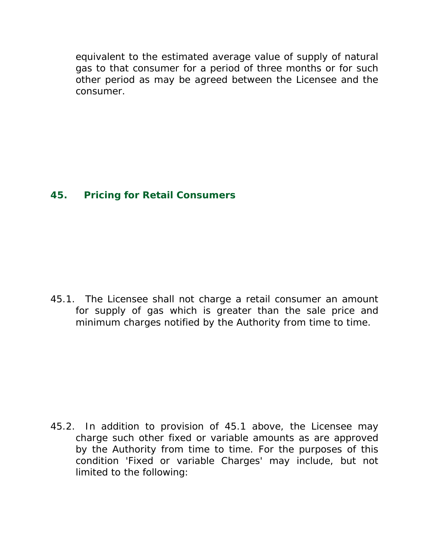equivalent to the estimated average value of supply of natural gas to that consumer for a period of three months or for such other period as may be agreed between the Licensee and the consumer.

### **45. Pricing for Retail Consumers**

45.1. The Licensee shall not charge a retail consumer an amount for supply of gas which is greater than the sale price and minimum charges notified by the Authority from time to time.

45.2. In addition to provision of 45.1 above, the Licensee may charge such other fixed or variable amounts as are approved by the Authority from time to time. For the purposes of this condition 'Fixed or variable Charges' may include, but not limited to the following: